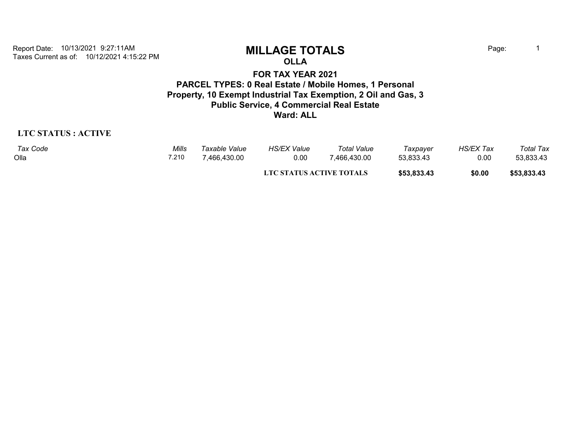Taxes Current as of: 10/12/2021 4:15:22 PM Report Date: 10/13/2021 9:27:11AM **MILLAGE TOTALS** Page: <sup>1</sup>

**OLLA**

### **FOR TAX YEAR 2021 PARCEL TYPES: 0 Real Estate / Mobile Homes, 1 Personal Property, 10 Exempt Industrial Tax Exemption, 2 Oil and Gas, 3 Public Service, 4 Commercial Real Estate Ward: ALL**

### **LTC STATUS : ACTIVE**

| Tax Code | Mills | Taxable Value | <b>HS/EX Value</b>       | <b>Total Value</b> | Taxpayer    | <b>HS/EX Tax</b> | Total Tax   |
|----------|-------|---------------|--------------------------|--------------------|-------------|------------------|-------------|
| Olla     | 7.210 | 466,430.00"   | 0.00                     | 7,466,430.00       | 53,833.43   | 0.00             | 53,833.43   |
|          |       |               | LTC STATUS ACTIVE TOTALS |                    | \$53,833.43 | \$0.00           | \$53,833.43 |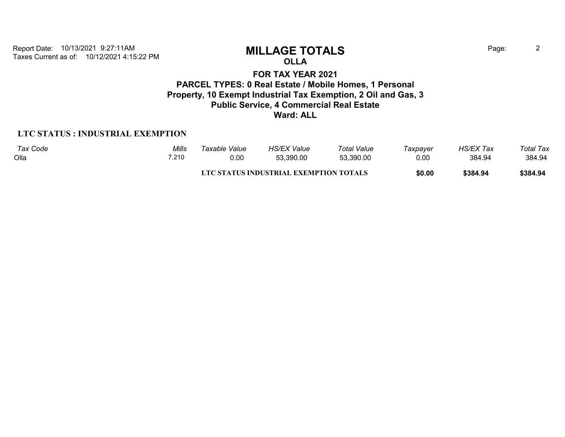Taxes Current as of: 10/12/2021 4:15:22 PM Report Date: 10/13/2021 9:27:11AM **MILLAGE TOTALS** Page: <sup>2</sup>

# **OLLA**

**FOR TAX YEAR 2021 PARCEL TYPES: 0 Real Estate / Mobile Homes, 1 Personal Property, 10 Exempt Industrial Tax Exemption, 2 Oil and Gas, 3 Public Service, 4 Commercial Real Estate Ward: ALL**

### **LTC STATUS : INDUSTRIAL EXEMPTION**

| Tax Code | Mills | Taxable Value | <b>HS/EX Value</b>                     | <b>Total Value</b> | Taxpayer | <b>HS/EX Tax</b> | Total Tax |
|----------|-------|---------------|----------------------------------------|--------------------|----------|------------------|-----------|
| Olla     | 7.210 | 0.00          | 53.390.00                              | 53.390.00          | 0.00     | 384.94           | 384.94    |
|          |       |               | LTC STATUS INDUSTRIAL EXEMPTION TOTALS |                    | \$0.00   | \$384.94         | \$384.94  |